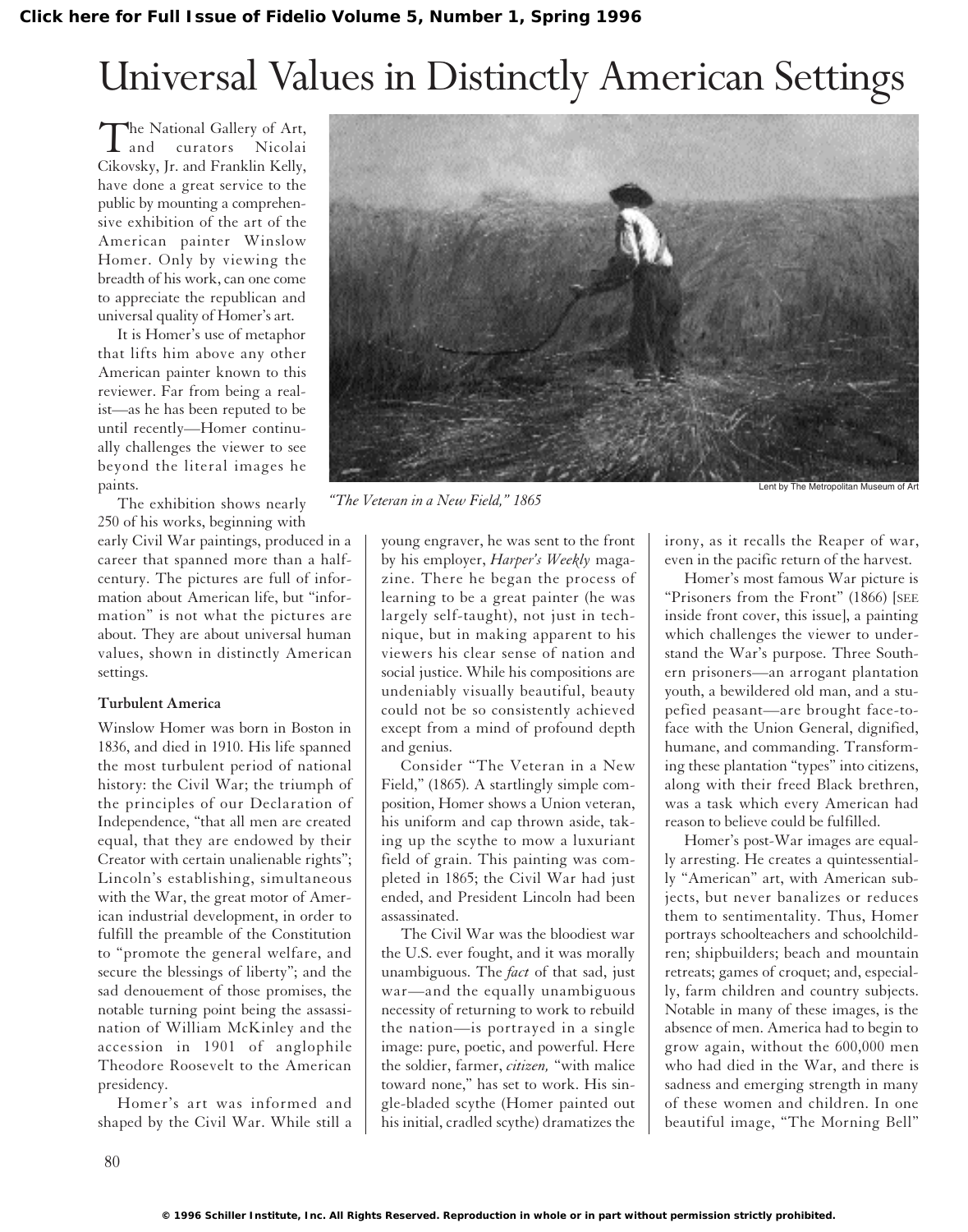## Universal Values in Distinctly American Settings

The National Gallery of Art,<br>and curators Nicolai curators Cikovsky, Jr. and Franklin Kelly, have done a great service to the public by mounting a comprehensive exhibition of the art of the American painter Winslow Homer. Only by viewing the breadth of his work, can one come to appreciate the republican and universal quality of Homer's art.

It is Homer's use of metaphor that lifts him above any other American painter known to this reviewer. Far from being a realist—as he has been reputed to be until recently—Homer continually challenges the viewer to see beyond the literal images he paints.

The exhibition shows nearly 250 of his works, beginning with

early Civil War paintings, produced in a career that spanned more than a halfcentury. The pictures are full of information about American life, but "information" is not what the pictures are about. They are about universal human values, shown in distinctly American settings.

## **Turbulent America**

Winslow Homer was born in Boston in 1836, and died in 1910. His life spanned the most turbulent period of national history: the Civil War; the triumph of the principles of our Declaration of Independence, "that all men are created equal, that they are endowed by their Creator with certain unalienable rights"; Lincoln's establishing, simultaneous with the War, the great motor of American industrial development, in order to fulfill the preamble of the Constitution to "promote the general welfare, and secure the blessings of liberty"; and the sad denouement of those promises, the notable turning point being the assassination of William McKinley and the accession in 1901 of anglophile Theodore Roosevelt to the American presidency.

Homer's art was informed and shaped by the Civil War. While still a



*"The Veteran in a New Field," 1865*

young engraver, he was sent to the front by his employer, *Harper's Weekly* magazine. There he began the process of learning to be a great painter (he was largely self-taught), not just in technique, but in making apparent to his viewers his clear sense of nation and social justice. While his compositions are undeniably visually beautiful, beauty could not be so consistently achieved except from a mind of profound depth and genius.

Consider "The Veteran in a New Field," (1865). A startlingly simple composition, Homer shows a Union veteran, his uniform and cap thrown aside, taking up the scythe to mow a luxuriant field of grain. This painting was completed in 1865; the Civil War had just ended, and President Lincoln had been assassinated.

The Civil War was the bloodiest war the U.S. ever fought, and it was morally unambiguous. The *fact* of that sad, just war—and the equally unambiguous necessity of returning to work to rebuild the nation—is portrayed in a single image: pure, poetic, and powerful. Here the soldier, farmer, *citizen,* "with malice toward none," has set to work. His single-bladed scythe (Homer painted out his initial, cradled scythe) dramatizes the

irony, as it recalls the Reaper of war, even in the pacific return of the harvest.

Homer's most famous War picture is "Prisoners from the Front" (1866) [SEE inside front cover, this issue], a painting which challenges the viewer to understand the War's purpose. Three Southern prisoners—an arrogant plantation youth, a bewildered old man, and a stupefied peasant—are brought face-toface with the Union General, dignified, humane, and commanding. Transforming these plantation "types" into citizens, along with their freed Black brethren, was a task which every American had reason to believe could be fulfilled.

Homer's post-War images are equally arresting. He creates a quintessentially "American" art, with American subjects, but never banalizes or reduces them to sentimentality. Thus, Homer portrays schoolteachers and schoolchildren; shipbuilders; beach and mountain retreats; games of croquet; and, especially, farm children and country subjects. Notable in many of these images, is the absence of men. America had to begin to grow again, without the 600,000 men who had died in the War, and there is sadness and emerging strength in many of these women and children. In one beautiful image, "The Morning Bell"